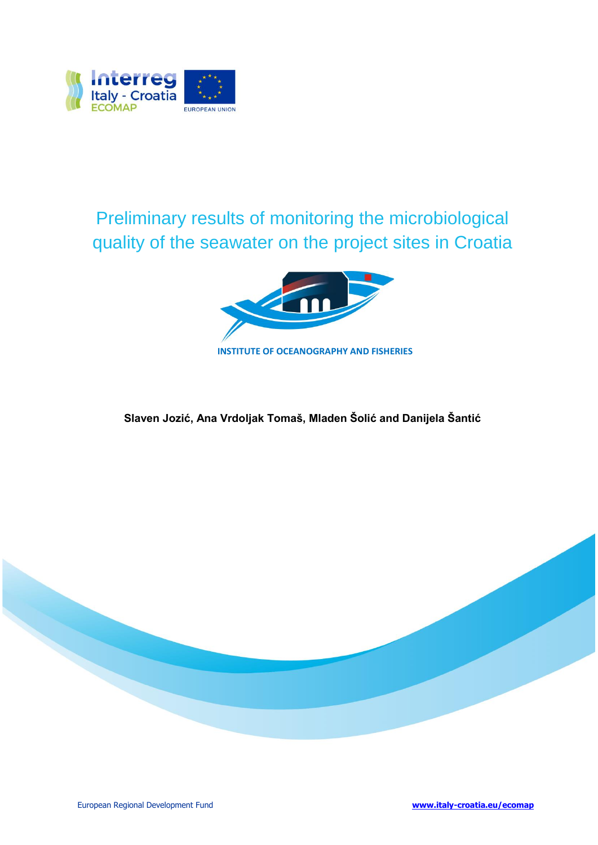

Preliminary results of monitoring the microbiological quality of the seawater on the project sites in Croatia



**Slaven Jozić, Ana Vrdoljak Tomaš, Mladen Šolić and Danijela Šantić**

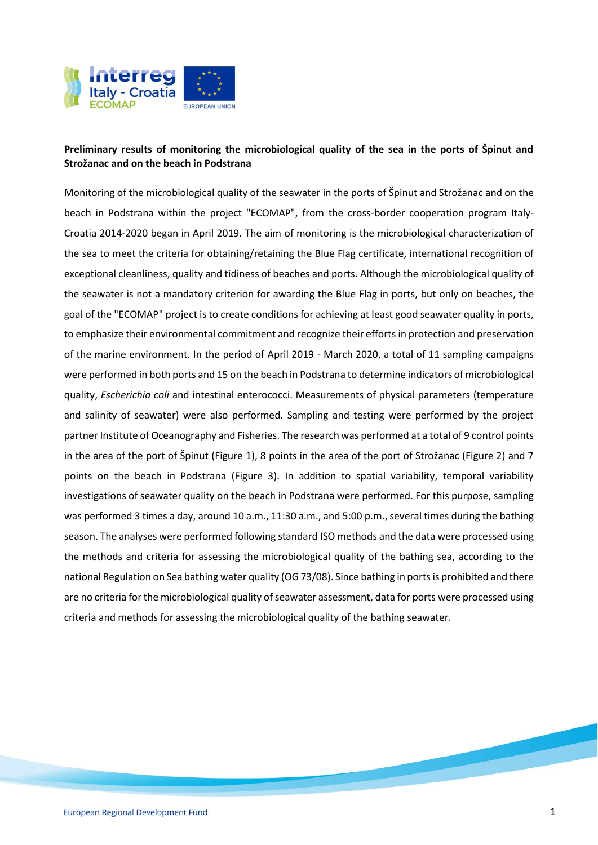

## **Preliminary results of monitoring the microbiological quality of the sea in the ports of Špinut and Strožanac and on the beach in Podstrana**

Monitoring of the microbiological quality of the seawater in the ports of Špinut and Strožanac and on the beach in Podstrana within the project "ECOMAP", from the cross-border cooperation program Italy-Croatia 2014-2020 began in April 2019. The aim of monitoring is the microbiological characterization of the sea to meet the criteria for obtaining/retaining the Blue Flag certificate, international recognition of exceptional cleanliness, quality and tidiness of beaches and ports. Although the microbiological quality of the seawater is not a mandatory criterion for awarding the Blue Flag in ports, but only on beaches, the goal of the "ECOMAP" project is to create conditions for achieving at least good seawater quality in ports, to emphasize their environmental commitment and recognize their efforts in protection and preservation of the marine environment. In the period of April 2019 - March 2020, a total of 11 sampling campaigns were performed in both ports and 15 on the beach in Podstrana to determine indicators of microbiological quality, *Escherichia coli* and intestinal enterococci. Measurements of physical parameters (temperature and salinity of seawater) were also performed. Sampling and testing were performed by the project partner Institute of Oceanography and Fisheries. The research was performed at a total of 9 control points in the area of the port of Špinut (Figure 1), 8 points in the area of the port of Strožanac (Figure 2) and 7 points on the beach in Podstrana (Figure 3). In addition to spatial variability, temporal variability investigations of seawater quality on the beach in Podstrana were performed. For this purpose, sampling was performed 3 times a day, around 10 a.m., 11:30 a.m., and 5:00 p.m., several times during the bathing season. The analyses were performed following standard ISO methods and the data were processed using the methods and criteria for assessing the microbiological quality of the bathing sea, according to the national Regulation on Sea bathing water quality (OG 73/08). Since bathing in ports is prohibited and there are no criteria for the microbiological quality of seawater assessment, data for ports were processed using criteria and methods for assessing the microbiological quality of the bathing seawater.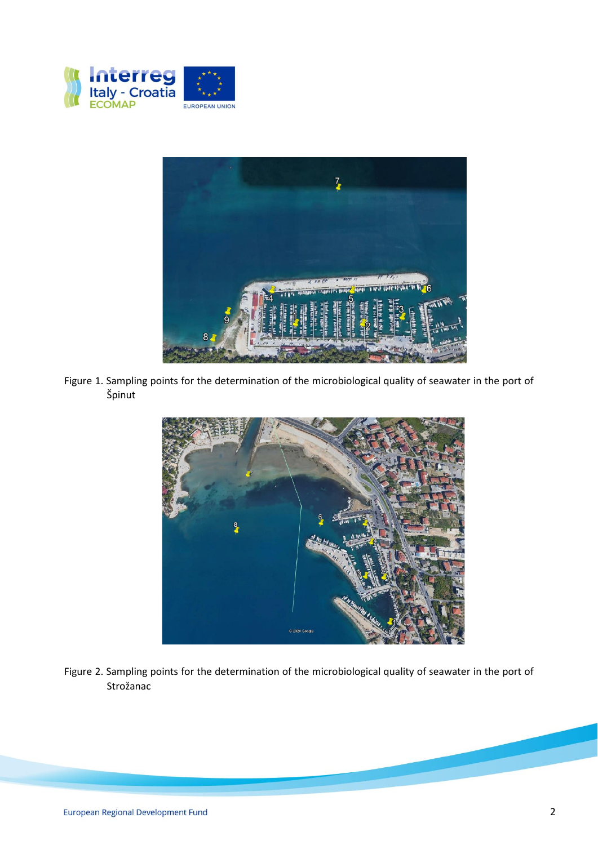



Figure 1. Sampling points for the determination of the microbiological quality of seawater in the port of Špinut



Figure 2. Sampling points for the determination of the microbiological quality of seawater in the port of Strožanac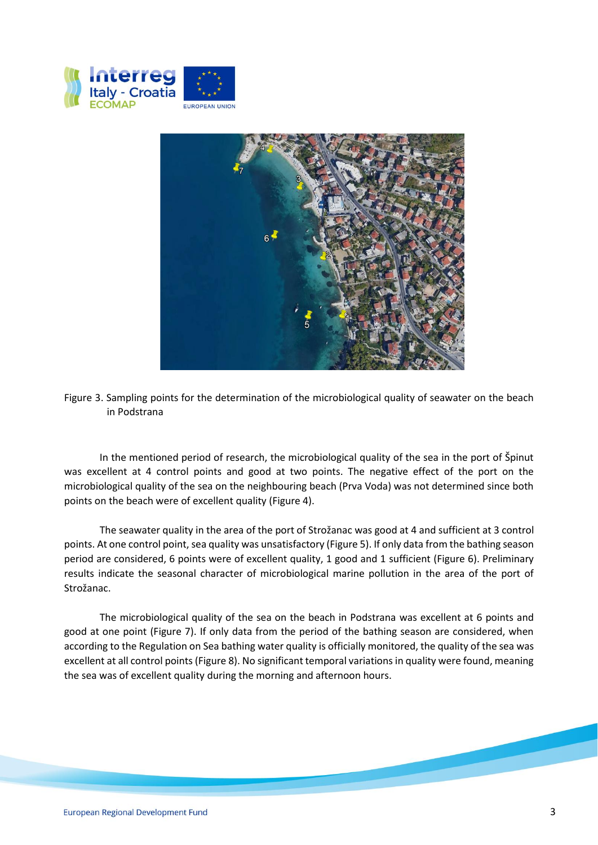



Figure 3. Sampling points for the determination of the microbiological quality of seawater on the beach in Podstrana

In the mentioned period of research, the microbiological quality of the sea in the port of Špinut was excellent at 4 control points and good at two points. The negative effect of the port on the microbiological quality of the sea on the neighbouring beach (Prva Voda) was not determined since both points on the beach were of excellent quality (Figure 4).

The seawater quality in the area of the port of Strožanac was good at 4 and sufficient at 3 control points. At one control point, sea quality was unsatisfactory (Figure 5). If only data from the bathing season period are considered, 6 points were of excellent quality, 1 good and 1 sufficient (Figure 6). Preliminary results indicate the seasonal character of microbiological marine pollution in the area of the port of Strožanac.

The microbiological quality of the sea on the beach in Podstrana was excellent at 6 points and good at one point (Figure 7). If only data from the period of the bathing season are considered, when according to the Regulation on Sea bathing water quality is officially monitored, the quality of the sea was excellent at all control points (Figure 8). No significant temporal variations in quality were found, meaning the sea was of excellent quality during the morning and afternoon hours.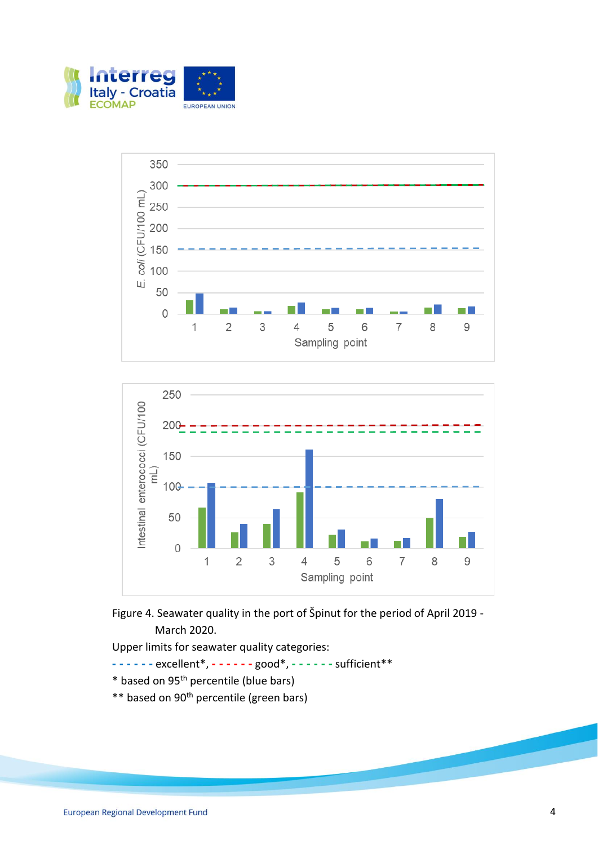







- **- - - - - -** excellent\*, **- - - - - -** good\*, **- - - - - -** sufficient\*\*
- \* based on 95th percentile (blue bars)
- \*\* based on 90<sup>th</sup> percentile (green bars)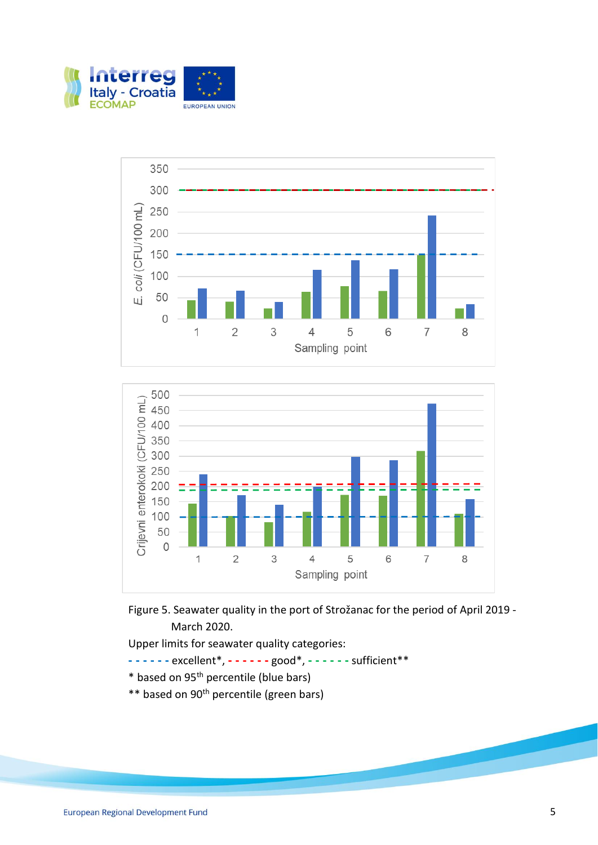





Figure 5. Seawater quality in the port of Strožanac for the period of April 2019 - March 2020.

- **- - - - - -** excellent\*, **- - - - - -** good\*, **- - - - - -** sufficient\*\*
- \* based on 95th percentile (blue bars)
- \*\* based on 90<sup>th</sup> percentile (green bars)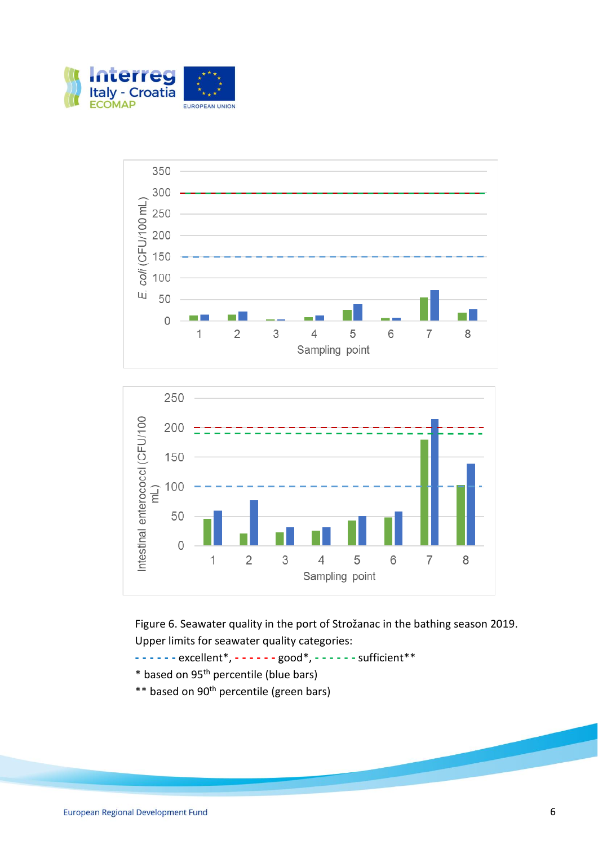





Figure 6. Seawater quality in the port of Strožanac in the bathing season 2019. Upper limits for seawater quality categories:

- **- - - - - -** excellent\*, **- - - - - -** good\*, **- - - - - -** sufficient\*\*
- \* based on 95th percentile (blue bars)
- \*\* based on 90th percentile (green bars)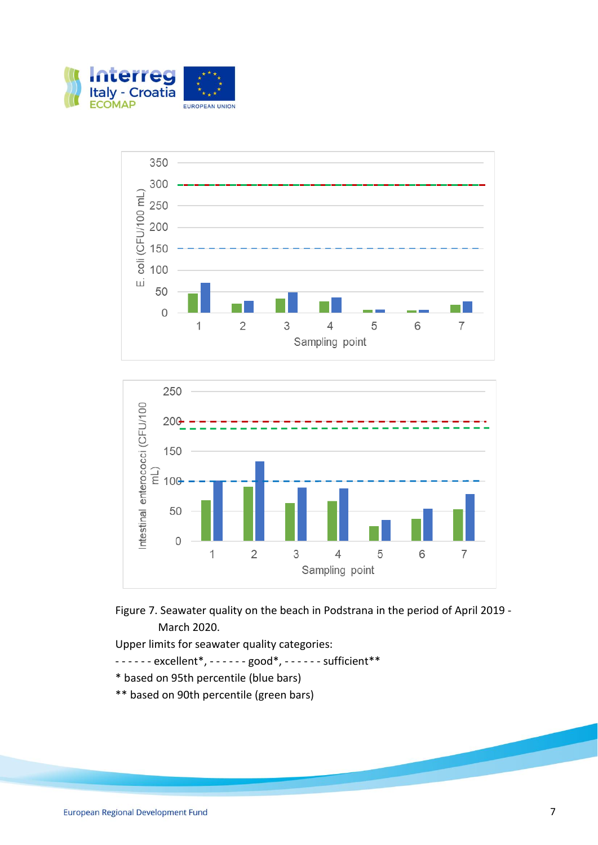







- - - - excellent\*, - - - good\*, - - - sufficient\*\*
- \* based on 95th percentile (blue bars)
- \*\* based on 90th percentile (green bars)